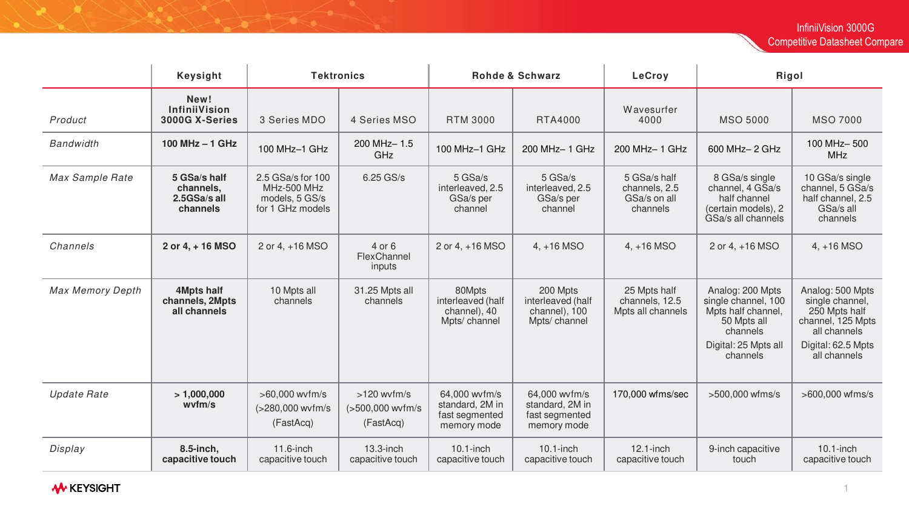|                         | <b>Keysight</b>                                       | <b>Tektronics</b>                                                      |                                                | <b>Rohde &amp; Schwarz</b>                                        |                                                                   | LeCroy                                                    | Rigol                                                                                                                        |                                                                                                                                 |
|-------------------------|-------------------------------------------------------|------------------------------------------------------------------------|------------------------------------------------|-------------------------------------------------------------------|-------------------------------------------------------------------|-----------------------------------------------------------|------------------------------------------------------------------------------------------------------------------------------|---------------------------------------------------------------------------------------------------------------------------------|
| Product                 | New!<br>InfiniiVision<br>3000G X-Series               | 3 Series MDO                                                           | 4 Series MSO                                   | <b>RTM 3000</b>                                                   | RTA4000                                                           | Wavesurfer<br>4000                                        | <b>MSO 5000</b>                                                                                                              | <b>MSO 7000</b>                                                                                                                 |
| <b>Bandwidth</b>        | 100 MHz - 1 GHz                                       | 100 MHz-1 GHz                                                          | 200 MHz-1.5<br>GHz                             | $100$ MHz $-1$ GHz                                                | 200 MHz- 1 GHz                                                    | 200 MHz-1 GHz                                             | 600 MHz- 2 GHz                                                                                                               | 100 MHz-500<br><b>MHz</b>                                                                                                       |
| Max Sample Rate         | 5 GSa/s half<br>channels,<br>2.5GSa/s all<br>channels | 2.5 GSa/s for 100<br>MHz-500 MHz<br>models, 5 GS/s<br>for 1 GHz models | 6.25 GS/s                                      | 5 GSa/s<br>interleaved, 2.5<br>GSa/s per<br>channel               | 5 GSa/s<br>interleaved, 2.5<br>GSa/s per<br>channel               | 5 GSa/s half<br>channels, 2.5<br>GSa/s on all<br>channels | 8 GSa/s single<br>channel, 4 GSa/s<br>half channel<br>(certain models), 2<br>GSa/s all channels                              | 10 GSa/s single<br>channel, 5 GSa/s<br>half channel, 2.5<br>GSa/s all<br>channels                                               |
| Channels                | 2 or 4, + 16 MSO                                      | 2 or 4, +16 MSO                                                        | 4 or 6<br>FlexChannel<br>inputs                | 2 or 4, +16 MSO                                                   | $4, +16$ MSO                                                      | $4, +16$ MSO                                              | 2 or 4, +16 MSO                                                                                                              | $4, +16$ MSO                                                                                                                    |
| <b>Max Memory Depth</b> | <b>4Mpts half</b><br>channels, 2Mpts<br>all channels  | 10 Mpts all<br>channels                                                | 31.25 Mpts all<br>channels                     | 80Mpts<br>interleaved (half<br>channel), 40<br>Mpts/ channel      | 200 Mpts<br>interleaved (half<br>channel), 100<br>Mpts/ channel   | 25 Mpts half<br>channels, 12.5<br>Mpts all channels       | Analog: 200 Mpts<br>single channel, 100<br>Mpts half channel,<br>50 Mpts all<br>channels<br>Digital: 25 Mpts all<br>channels | Analog: 500 Mpts<br>single channel,<br>250 Mpts half<br>channel, 125 Mpts<br>all channels<br>Digital: 62.5 Mpts<br>all channels |
| <b>Update Rate</b>      | >1,000,000<br>wvm/s                                   | >60,000 wvfm/s<br>(>280,000 wvfm/s<br>(FastAcq)                        | $>120$ wvfm/s<br>(>500,000 wvfm/s<br>(FastAcq) | 64,000 wvfm/s<br>standard, 2M in<br>fast segmented<br>memory mode | 64,000 wvfm/s<br>standard, 2M in<br>fast segmented<br>memory mode | 170,000 wfms/sec                                          | >500,000 wfms/s                                                                                                              | >600,000 wfms/s                                                                                                                 |
| Display                 | 8.5-inch,<br>capacitive touch                         | 11.6-inch<br>capacitive touch                                          | $13.3$ -inch<br>capacitive touch               | $10.1$ -inch<br>capacitive touch                                  | $10.1$ -inch<br>capacitive touch                                  | $12.1$ -inch<br>capacitive touch                          | 9-inch capacitive<br>touch                                                                                                   | $10.1$ -inch<br>capacitive touch                                                                                                |